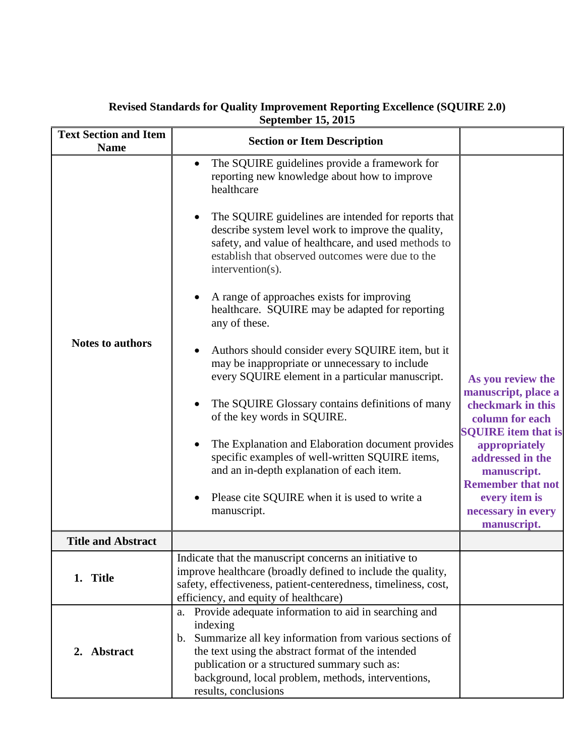| <b>Text Section and Item</b>           | <b>Section or Item Description</b>                                                                                                                                                                                                                                                                                                                                                                                                                                                                                                                                                                                                                                                                                                                                                                                                                                                                                                                         |                                                                                                                                                                                                                                                      |
|----------------------------------------|------------------------------------------------------------------------------------------------------------------------------------------------------------------------------------------------------------------------------------------------------------------------------------------------------------------------------------------------------------------------------------------------------------------------------------------------------------------------------------------------------------------------------------------------------------------------------------------------------------------------------------------------------------------------------------------------------------------------------------------------------------------------------------------------------------------------------------------------------------------------------------------------------------------------------------------------------------|------------------------------------------------------------------------------------------------------------------------------------------------------------------------------------------------------------------------------------------------------|
| <b>Name</b><br><b>Notes to authors</b> | The SQUIRE guidelines provide a framework for<br>$\bullet$<br>reporting new knowledge about how to improve<br>healthcare<br>The SQUIRE guidelines are intended for reports that<br>describe system level work to improve the quality,<br>safety, and value of healthcare, and used methods to<br>establish that observed outcomes were due to the<br>intervention(s).<br>A range of approaches exists for improving<br>healthcare. SQUIRE may be adapted for reporting<br>any of these.<br>Authors should consider every SQUIRE item, but it<br>may be inappropriate or unnecessary to include<br>every SQUIRE element in a particular manuscript.<br>The SQUIRE Glossary contains definitions of many<br>of the key words in SQUIRE.<br>The Explanation and Elaboration document provides<br>specific examples of well-written SQUIRE items,<br>and an in-depth explanation of each item.<br>Please cite SQUIRE when it is used to write a<br>manuscript. | As you review the<br>manuscript, place a<br>checkmark in this<br>column for each<br><b>SQUIRE</b> item that is<br>appropriately<br>addressed in the<br>manuscript.<br><b>Remember that not</b><br>every item is<br>necessary in every<br>manuscript. |
| <b>Title and Abstract</b>              |                                                                                                                                                                                                                                                                                                                                                                                                                                                                                                                                                                                                                                                                                                                                                                                                                                                                                                                                                            |                                                                                                                                                                                                                                                      |
| 1. Title                               | Indicate that the manuscript concerns an initiative to<br>improve healthcare (broadly defined to include the quality,<br>safety, effectiveness, patient-centeredness, timeliness, cost,<br>efficiency, and equity of healthcare)                                                                                                                                                                                                                                                                                                                                                                                                                                                                                                                                                                                                                                                                                                                           |                                                                                                                                                                                                                                                      |
| 2. Abstract                            | a. Provide adequate information to aid in searching and<br>indexing<br>Summarize all key information from various sections of<br>b.<br>the text using the abstract format of the intended<br>publication or a structured summary such as:<br>background, local problem, methods, interventions,<br>results, conclusions                                                                                                                                                                                                                                                                                                                                                                                                                                                                                                                                                                                                                                    |                                                                                                                                                                                                                                                      |

## **Revised Standards for Quality Improvement Reporting Excellence (SQUIRE 2.0) September 15, 2015**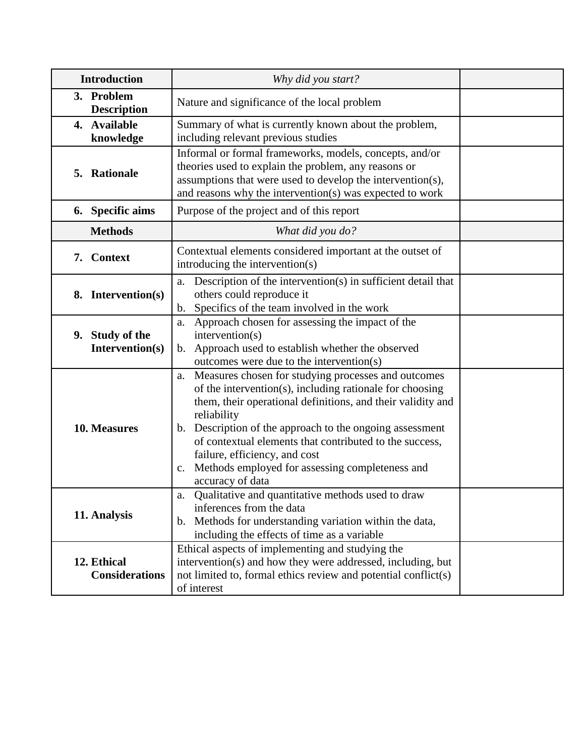| <b>Introduction</b>                  | Why did you start?                                                                                                                                                                                                                                                                                                                                                                                                                                      |  |
|--------------------------------------|---------------------------------------------------------------------------------------------------------------------------------------------------------------------------------------------------------------------------------------------------------------------------------------------------------------------------------------------------------------------------------------------------------------------------------------------------------|--|
| 3. Problem<br><b>Description</b>     | Nature and significance of the local problem                                                                                                                                                                                                                                                                                                                                                                                                            |  |
| 4. Available<br>knowledge            | Summary of what is currently known about the problem,<br>including relevant previous studies                                                                                                                                                                                                                                                                                                                                                            |  |
| 5. Rationale                         | Informal or formal frameworks, models, concepts, and/or<br>theories used to explain the problem, any reasons or<br>assumptions that were used to develop the intervention(s),<br>and reasons why the intervention(s) was expected to work                                                                                                                                                                                                               |  |
| 6. Specific aims                     | Purpose of the project and of this report                                                                                                                                                                                                                                                                                                                                                                                                               |  |
| <b>Methods</b>                       | What did you do?                                                                                                                                                                                                                                                                                                                                                                                                                                        |  |
| <b>Context</b><br>7.                 | Contextual elements considered important at the outset of<br>introducing the intervention(s)                                                                                                                                                                                                                                                                                                                                                            |  |
| 8. Intervention(s)                   | Description of the intervention(s) in sufficient detail that<br>a.<br>others could reproduce it<br>Specifics of the team involved in the work<br>$\mathbf{b}$ .                                                                                                                                                                                                                                                                                         |  |
| 9. Study of the<br>Intervention(s)   | Approach chosen for assessing the impact of the<br>a.<br>intervention(s)<br>Approach used to establish whether the observed<br>b.<br>outcomes were due to the intervention(s)                                                                                                                                                                                                                                                                           |  |
| 10. Measures                         | Measures chosen for studying processes and outcomes<br>a.<br>of the intervention(s), including rationale for choosing<br>them, their operational definitions, and their validity and<br>reliability<br>Description of the approach to the ongoing assessment<br>$\mathbf{b}$ .<br>of contextual elements that contributed to the success,<br>failure, efficiency, and cost<br>Methods employed for assessing completeness and<br>c.<br>accuracy of data |  |
| 11. Analysis                         | Qualitative and quantitative methods used to draw<br>a.<br>inferences from the data<br>b. Methods for understanding variation within the data,<br>including the effects of time as a variable                                                                                                                                                                                                                                                           |  |
| 12. Ethical<br><b>Considerations</b> | Ethical aspects of implementing and studying the<br>intervention(s) and how they were addressed, including, but<br>not limited to, formal ethics review and potential conflict(s)<br>of interest                                                                                                                                                                                                                                                        |  |